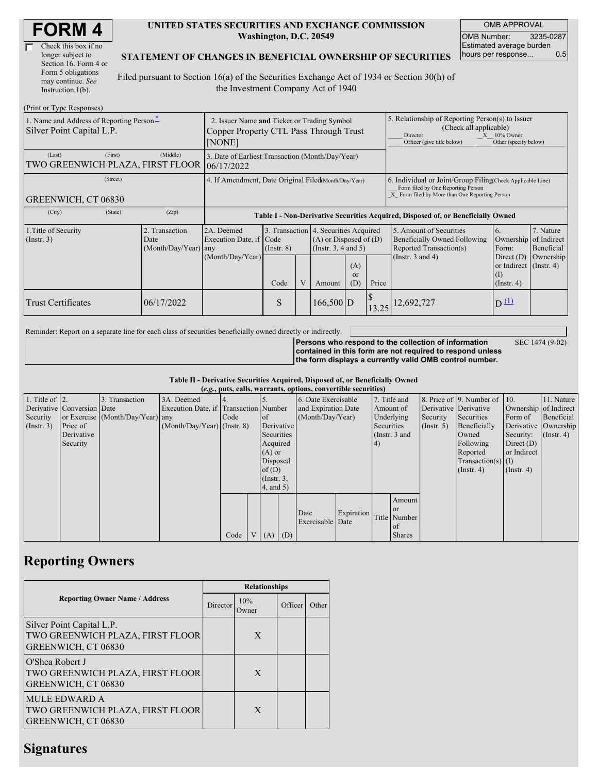| <b>FORM4</b> |
|--------------|
|--------------|

| Check this box if no  |
|-----------------------|
| longer subject to     |
| Section 16. Form 4 or |
| Form 5 obligations    |
| may continue. See     |
| Instruction 1(b).     |

#### **UNITED STATES SECURITIES AND EXCHANGE COMMISSION Washington, D.C. 20549**

OMB APPROVAL OMB Number: 3235-0287 Estimated average burden hours per response... 0.5

#### **STATEMENT OF CHANGES IN BENEFICIAL OWNERSHIP OF SECURITIES**

Filed pursuant to Section 16(a) of the Securities Exchange Act of 1934 or Section 30(h) of the Investment Company Act of 1940

| (Print or Type Responses)                                             |                                                                                                 |                                                                 |                         |   |                                                                                                                                          |  |                                                                                                                                                                   |                                                                                                             |                                                                                                              |                                      |  |  |
|-----------------------------------------------------------------------|-------------------------------------------------------------------------------------------------|-----------------------------------------------------------------|-------------------------|---|------------------------------------------------------------------------------------------------------------------------------------------|--|-------------------------------------------------------------------------------------------------------------------------------------------------------------------|-------------------------------------------------------------------------------------------------------------|--------------------------------------------------------------------------------------------------------------|--------------------------------------|--|--|
| 1. Name and Address of Reporting Person-<br>Silver Point Capital L.P. | 2. Issuer Name and Ticker or Trading Symbol<br>Copper Property CTL Pass Through Trust<br>[NONE] |                                                                 |                         |   |                                                                                                                                          |  | 5. Relationship of Reporting Person(s) to Issuer<br>(Check all applicable)<br>$X = 10\%$ Owner<br>Director<br>Other (specify below)<br>Officer (give title below) |                                                                                                             |                                                                                                              |                                      |  |  |
| (First)<br>(Last)<br>TWO GREENWICH PLAZA, FIRST FLOOR                 | (Middle)                                                                                        | 3. Date of Earliest Transaction (Month/Day/Year)<br>106/17/2022 |                         |   |                                                                                                                                          |  |                                                                                                                                                                   |                                                                                                             |                                                                                                              |                                      |  |  |
| (Street)<br>GREENWICH, CT 06830                                       | 4. If Amendment, Date Original Filed(Month/Day/Year)                                            |                                                                 |                         |   |                                                                                                                                          |  | 6. Individual or Joint/Group Filing Check Applicable Line)<br>Form filed by One Reporting Person<br>X Form filed by More than One Reporting Person                |                                                                                                             |                                                                                                              |                                      |  |  |
| (City)<br>(State)                                                     | (Zip)                                                                                           |                                                                 |                         |   |                                                                                                                                          |  |                                                                                                                                                                   | Table I - Non-Derivative Securities Acquired, Disposed of, or Beneficially Owned                            |                                                                                                              |                                      |  |  |
| 1. Title of Security<br>$($ Instr. 3 $)$                              | 2. Transaction<br>Date<br>$(Month/Day/Year)$ any                                                | 2A. Deemed<br>Execution Date, if Code<br>(Month/Day/Year)       | $($ Instr. $8)$<br>Code | V | 3. Transaction 4. Securities Acquired<br>$(A)$ or Disposed of $(D)$<br>(Instr. $3, 4$ and $5$ )<br>(A)<br><sub>or</sub><br>(D)<br>Amount |  | Price                                                                                                                                                             | 5. Amount of Securities<br>Beneficially Owned Following<br>Reported Transaction(s)<br>(Instr. $3$ and $4$ ) | 6.<br>Ownership of Indirect<br>Form:<br>Direct $(D)$<br>or Indirect (Instr. 4)<br>$($ I)<br>$($ Instr. 4 $)$ | 7. Nature<br>Beneficial<br>Ownership |  |  |
| <b>Trust Certificates</b>                                             | 06/17/2022                                                                                      |                                                                 | S                       |   | $166,500$ D                                                                                                                              |  | 13.25                                                                                                                                                             | 12,692,727                                                                                                  | D(1)                                                                                                         |                                      |  |  |

Reminder: Report on a separate line for each class of securities beneficially owned directly or indirectly.

**Persons who respond to the collection of information** SEC 1474 (9-02)

**contained in this form are not required to respond unless the form displays a currently valid OMB control number.**

**Table II - Derivative Securities Acquired, Disposed of, or Beneficially Owned**

|                        | (e.g., puts, calls, warrants, options, convertible securities) |                                  |                                       |      |                 |                  |            |                          |            |              |                  |                       |                              |                      |                       |
|------------------------|----------------------------------------------------------------|----------------------------------|---------------------------------------|------|-----------------|------------------|------------|--------------------------|------------|--------------|------------------|-----------------------|------------------------------|----------------------|-----------------------|
| 1. Title of $\vert$ 2. |                                                                | 3. Transaction                   | 3A. Deemed                            |      |                 |                  |            | 6. Date Exercisable      |            | 7. Title and |                  |                       | 8. Price of 9. Number of 10. |                      | 11. Nature            |
|                        | Derivative Conversion Date                                     |                                  | Execution Date, if Transaction Number |      |                 |                  |            | and Expiration Date      |            | Amount of    |                  | Derivative Derivative |                              |                      | Ownership of Indirect |
| Security               |                                                                | or Exercise (Month/Day/Year) any |                                       | Code |                 | <sub>of</sub>    |            | (Month/Day/Year)         |            | Underlying   |                  | Security              | Securities                   | Form of              | Beneficial            |
| $($ Instr. 3 $)$       | Price of                                                       |                                  | $(Month/Day/Year)$ (Instr. 8)         |      |                 |                  | Derivative |                          | Securities |              | $($ Instr. 5 $)$ | Beneficially          |                              | Derivative Ownership |                       |
|                        | Derivative                                                     |                                  |                                       |      |                 | Securities       |            | (Instr. 3 and            |            |              | Owned            | Security:             | $($ Instr. 4)                |                      |                       |
|                        | Security                                                       |                                  |                                       |      |                 | Acquired         |            |                          | (4)        |              |                  | Following             | Direct $(D)$                 |                      |                       |
|                        |                                                                |                                  |                                       |      |                 | $(A)$ or         |            |                          |            |              |                  | Reported              | or Indirect                  |                      |                       |
|                        |                                                                |                                  |                                       |      | Disposed        |                  |            |                          |            |              |                  |                       | Transaction(s) $(I)$         |                      |                       |
|                        |                                                                |                                  |                                       |      |                 | of(D)            |            |                          |            |              |                  |                       | $($ Instr. 4 $)$             | $($ Instr. 4 $)$     |                       |
|                        |                                                                |                                  |                                       |      |                 | $($ Instr. $3$ , |            |                          |            |              |                  |                       |                              |                      |                       |
|                        |                                                                |                                  |                                       |      |                 | 4, and 5)        |            |                          |            |              |                  |                       |                              |                      |                       |
|                        |                                                                |                                  |                                       |      |                 |                  |            |                          |            |              | Amount           |                       |                              |                      |                       |
|                        |                                                                |                                  |                                       |      |                 |                  |            |                          | Expiration |              | <sub>or</sub>    |                       |                              |                      |                       |
|                        |                                                                |                                  |                                       |      |                 |                  |            | Date<br>Exercisable Date |            |              | Title Number     |                       |                              |                      |                       |
|                        |                                                                |                                  |                                       |      |                 |                  |            |                          |            |              | of               |                       |                              |                      |                       |
|                        |                                                                |                                  |                                       | Code | $V_{\parallel}$ | $(A)$ $(D)$      |            |                          |            |              | <b>Shares</b>    |                       |                              |                      |                       |

## **Reporting Owners**

|                                                                                      | <b>Relationships</b> |               |         |       |  |  |  |  |
|--------------------------------------------------------------------------------------|----------------------|---------------|---------|-------|--|--|--|--|
| <b>Reporting Owner Name / Address</b>                                                | Director             | 10%<br>Owner) | Officer | Other |  |  |  |  |
| Silver Point Capital L.P.<br>TWO GREENWICH PLAZA, FIRST FLOOR<br>GREENWICH, CT 06830 |                      | X             |         |       |  |  |  |  |
| O'Shea Robert J<br>TWO GREENWICH PLAZA, FIRST FLOOR<br>GREENWICH, CT 06830           |                      | X             |         |       |  |  |  |  |
| <b>MULE EDWARD A</b><br>TWO GREENWICH PLAZA, FIRST FLOOR<br>GREENWICH, CT 06830      |                      | X             |         |       |  |  |  |  |

## **Signatures**